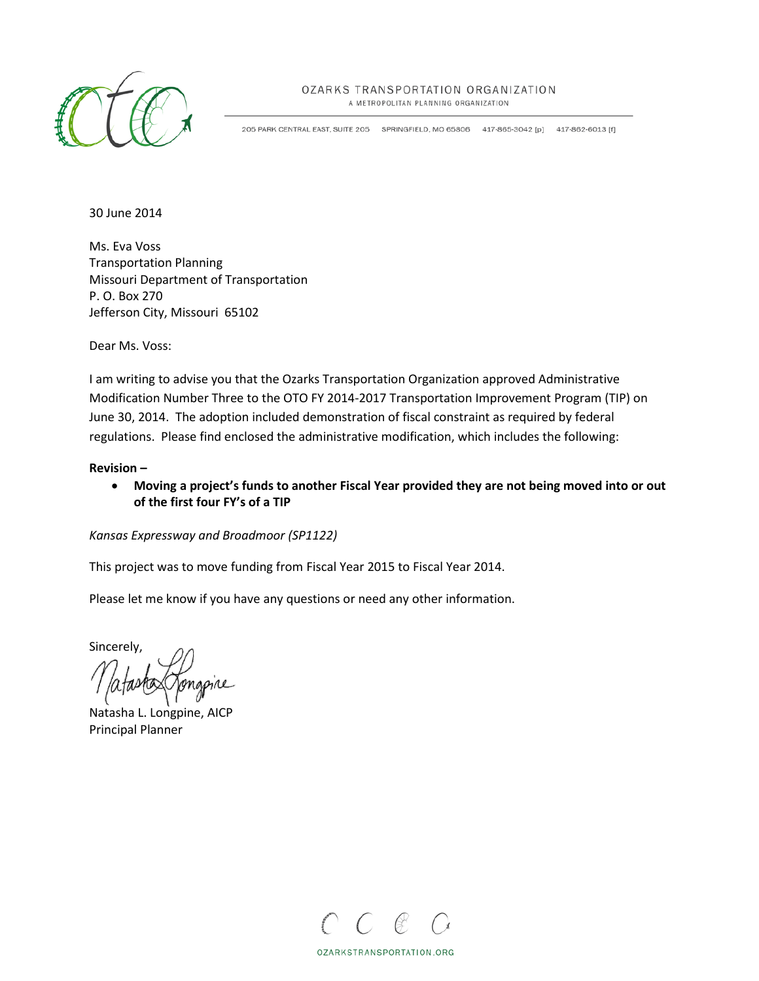

## OZARKS TRANSPORTATION ORGANIZATION

A METROPOLITAN PLANNING ORGANIZATION

205 PARK CENTRAL EAST, SUITE 205 SPRINGFIELD, MO 65806 417-865-3042 [p] 417-862-6013 [f]

30 June 2014

Ms. Eva Voss Transportation Planning Missouri Department of Transportation P. O. Box 270 Jefferson City, Missouri 65102

Dear Ms. Voss:

I am writing to advise you that the Ozarks Transportation Organization approved Administrative Modification Number Three to the OTO FY 2014-2017 Transportation Improvement Program (TIP) on June 30, 2014. The adoption included demonstration of fiscal constraint as required by federal regulations. Please find enclosed the administrative modification, which includes the following:

### **Revision –**

• **Moving a project's funds to another Fiscal Year provided they are not being moved into or out of the first four FY's of a TIP**

*Kansas Expressway and Broadmoor (SP1122)*

This project was to move funding from Fiscal Year 2015 to Fiscal Year 2014.

Please let me know if you have any questions or need any other information.

Sincerely,

Natasha L. Longpine, AICP Principal Planner



OZARKSTRANSPORTATION.ORG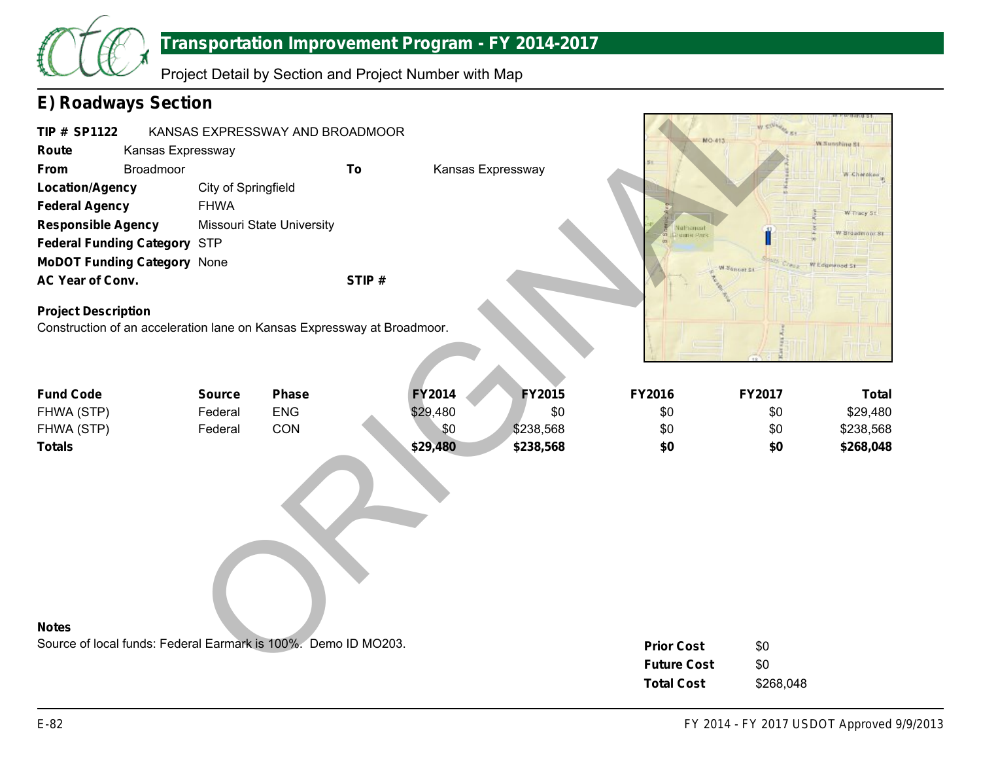

## **Transportation Improvement Program - FY 2014-2017**

Project Detail by Section and Project Number with Map

# **E) Roadways Section**

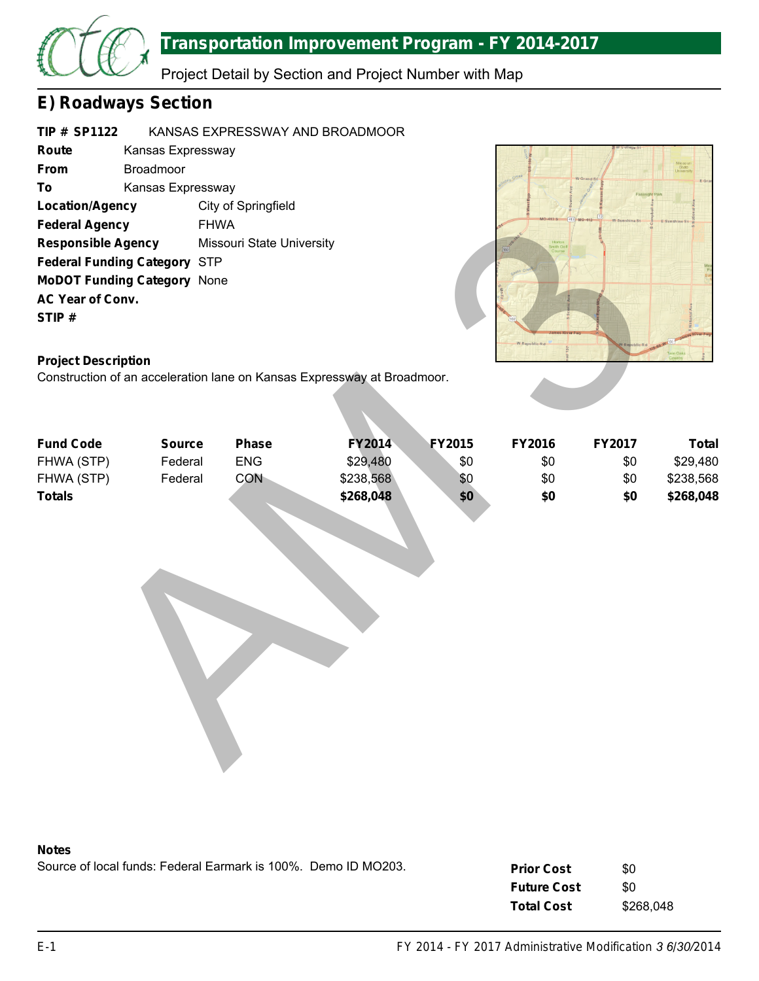

# **Transportation Improvement Program - FY 2014-2017**

Project Detail by Section and Project Number with Map

# **E) Roadways Section**

| <b>TIP # SP1122</b>                 |                   | KANSAS EXPRESSWAY AND BROADMOOR |
|-------------------------------------|-------------------|---------------------------------|
| Route                               | Kansas Expressway |                                 |
| <b>From</b>                         | <b>Broadmoor</b>  |                                 |
| To                                  | Kansas Expressway |                                 |
| Location/Agency                     |                   | City of Springfield             |
| <b>Federal Agency</b>               |                   | <b>FHWA</b>                     |
| <b>Responsible Agency</b>           |                   | Missouri State University       |
| <b>Federal Funding Category STP</b> |                   |                                 |
| <b>MoDOT Funding Category None</b>  |                   |                                 |
| AC Year of Conv.                    |                   |                                 |
| STIP#                               |                   |                                 |
|                                     |                   |                                 |



## **Project Description**

|                                     |               | $\sim$ , $\sim$ $\sim$ $\sim$ $\sim$ $\sim$ $\sim$ |                                                                         |               |               |        |              |
|-------------------------------------|---------------|----------------------------------------------------|-------------------------------------------------------------------------|---------------|---------------|--------|--------------|
| <b>Federal Agency</b>               | <b>FHWA</b>   |                                                    |                                                                         |               |               |        |              |
| <b>Responsible Agency</b>           |               | Missouri State University                          |                                                                         |               |               |        |              |
| <b>Federal Funding Category STP</b> |               |                                                    |                                                                         |               |               |        |              |
| <b>MoDOT Funding Category None</b>  |               |                                                    |                                                                         |               |               |        |              |
| AC Year of Conv.                    |               |                                                    |                                                                         |               |               |        |              |
| STIP#                               |               |                                                    |                                                                         |               |               |        |              |
|                                     |               |                                                    |                                                                         |               |               |        |              |
|                                     |               |                                                    |                                                                         |               | W Republic Rd |        |              |
| <b>Project Description</b>          |               |                                                    |                                                                         |               |               |        |              |
|                                     |               |                                                    | Construction of an acceleration lane on Kansas Expressway at Broadmoor. |               |               |        |              |
|                                     |               |                                                    |                                                                         |               |               |        |              |
|                                     |               |                                                    |                                                                         |               |               |        |              |
| <b>Fund Code</b>                    | <b>Source</b> | <b>Phase</b>                                       | <b>FY2014</b>                                                           | <b>FY2015</b> | FY2016        | FY2017 | <b>Total</b> |
| FHWA (STP)                          | Federal       | <b>ENG</b>                                         | \$29,480                                                                | \$0           | \$0           | \$0    | \$29,480     |
| FHWA (STP)                          | Federal       | CON                                                | \$238,568                                                               | \$0           | \$0           | \$0    | \$238,568    |
| <b>Totals</b>                       |               |                                                    | \$268,048                                                               | \$0           | \$0           | \$0    | \$268,048    |
|                                     |               |                                                    |                                                                         |               |               |        |              |
|                                     |               |                                                    |                                                                         |               |               |        |              |
|                                     |               |                                                    |                                                                         |               |               |        |              |
|                                     |               |                                                    |                                                                         |               |               |        |              |
|                                     |               |                                                    |                                                                         |               |               |        |              |
|                                     |               |                                                    |                                                                         |               |               |        |              |
|                                     |               |                                                    |                                                                         |               |               |        |              |
|                                     |               |                                                    |                                                                         |               |               |        |              |
|                                     |               |                                                    |                                                                         |               |               |        |              |
|                                     |               |                                                    |                                                                         |               |               |        |              |
|                                     |               |                                                    |                                                                         |               |               |        |              |
|                                     |               |                                                    |                                                                         |               |               |        |              |
|                                     |               |                                                    |                                                                         |               |               |        |              |
|                                     |               |                                                    |                                                                         |               |               |        |              |
|                                     |               |                                                    |                                                                         |               |               |        |              |
|                                     |               |                                                    |                                                                         |               |               |        |              |



Source of local funds: Federal Earmark is 100%. Demo ID MO203.

| <b>Prior Cost</b>  | \$0       |
|--------------------|-----------|
| <b>Future Cost</b> | \$0       |
| <b>Total Cost</b>  | \$268,048 |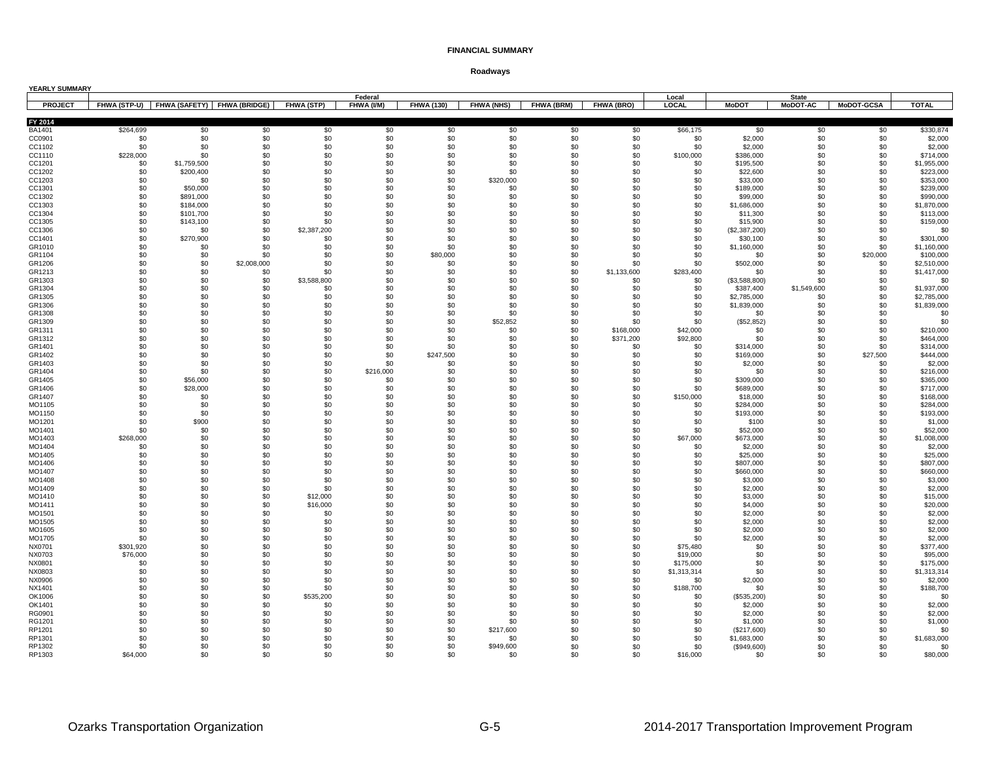| YEARLY SUMMARY   |                  |                                          |             |             |            |                   |                   |                   |             |                       |                            |                 |                   |                          |
|------------------|------------------|------------------------------------------|-------------|-------------|------------|-------------------|-------------------|-------------------|-------------|-----------------------|----------------------------|-----------------|-------------------|--------------------------|
|                  |                  |                                          |             |             | Federal    |                   |                   |                   |             | Local                 |                            | <b>State</b>    |                   |                          |
| <b>PROJECT</b>   |                  | FHWA (STP-U) FHWA (SAFETY) FHWA (BRIDGE) |             | FHWA (STP)  | FHWA (I/M) | <b>FHWA (130)</b> | <b>FHWA (NHS)</b> | <b>FHWA (BRM)</b> | FHWA (BRO)  | <b>LOCAL</b>          | <b>MoDOT</b>               | <b>MoDOT-AC</b> | <b>MoDOT-GCSA</b> | <b>TOTAL</b>             |
| FY 2014          |                  |                                          |             |             |            |                   |                   |                   |             |                       |                            |                 |                   |                          |
| BA1401           | \$264,699        | \$0                                      | \$0         | \$0         | \$0        | \$0               | \$0               | \$0               | \$0         | \$66,175              | \$0                        | \$0             | \$0               | \$330,874                |
| CC0901           | \$0              | \$0                                      | \$0         | \$0         | \$0        | \$0               | \$0               | \$0               | \$0         | \$0                   | \$2,000                    | \$0             | \$0               | \$2,000                  |
| CC1102           | \$0              | \$0                                      | \$0         | \$0         | \$0        | \$0               | \$0               | \$0               | \$0         | \$0                   | \$2,000                    | \$0             | \$0               | \$2,000                  |
| CC1110           | \$228,000<br>\$0 | \$0<br>\$1,759,500                       | \$0<br>\$0  | \$0<br>\$0  | \$0<br>\$0 | \$0<br>\$0        | \$0<br>\$0        | \$0<br>\$0        | \$0<br>\$0  | \$100,000<br>\$0      | \$386,000                  | \$0<br>\$0      | \$0<br>\$0        | \$714,000<br>\$1,955,000 |
| CC1201<br>CC1202 | \$0              | \$200,400                                | \$0         | \$0         | \$0        | \$0               | \$0               | \$0               | \$0         | \$0                   | \$195,500<br>\$22,600      | \$0             | \$0               | \$223,000                |
| CC1203           | \$0              | \$0                                      | \$0         | \$0         | \$0        | \$0               | \$320,000         | \$0               | \$0         | \$0                   | \$33,000                   | \$0             | \$0               | \$353,000                |
| CC1301           | \$0              | \$50,000                                 | \$0         | \$0         | \$0        | \$0               | \$0               | \$0               | \$0         | \$0                   | \$189,000                  | \$0             | \$0               | \$239,000                |
| CC1302           | \$0              | \$891,000                                | \$0         | \$0         | \$0        | \$0               | \$0               | \$0               | \$0         | \$0                   | \$99,000                   | \$0             | \$0               | \$990,000                |
| CC1303           | \$0              | \$184,000                                | \$0         | \$0         | \$0        | \$0               | \$0               | \$0               | \$0         | \$0                   | \$1,686,000                | \$0             | \$0               | \$1,870,000              |
| CC1304           | \$0              | \$101,700                                | \$0         | \$0         | \$0        | \$0               | \$0               | \$0               | \$0         | \$0                   | \$11,300                   | \$0             | \$0               | \$113,000                |
| CC1305           | \$0              | \$143,100                                | \$0         | \$0         | \$0        | \$0               | \$0               | \$0               | \$0         | \$0                   | \$15,900                   | \$0             | \$0               | \$159,000                |
| CC1306           | \$0              | \$0                                      | \$0         | \$2,387,200 | \$0        | \$0               | \$0               | \$0               | \$0         | \$0                   | (\$2,387,200)              | \$0             | \$0               | \$0                      |
| CC1401<br>GR1010 | \$0<br>\$0       | \$270,900<br>\$0                         | \$0<br>\$0  | \$0<br>\$0  | \$0<br>\$0 | \$0<br>\$0        | \$0<br>\$0        | \$0<br>\$0        | \$0<br>\$0  | \$0<br>\$0            | \$30,100<br>\$1,160,000    | \$0<br>\$0      | \$0<br>\$0        | \$301,000<br>\$1,160,000 |
| GR1104           | \$0              | \$0                                      | \$0         | \$0         | \$0        | \$80,000          | \$0               | \$0               | \$0         | \$0                   | \$0                        | \$0             | \$20,000          | \$100,000                |
| GR1206           | \$0              | \$0                                      | \$2,008,000 | \$0         | \$0        | \$0               | \$0               | \$0               | \$0         | \$0                   | \$502,000                  | \$0             | \$0               | \$2,510,000              |
| GR1213           | \$0              | \$0                                      | \$0         | \$0         | \$0        | \$0               | \$0               | \$0               | \$1,133,600 | \$283,400             | \$0                        | \$0             | \$0               | \$1,417,000              |
| GR1303           | \$0              | \$0                                      | \$0         | \$3,588,800 | \$0        | \$0               | \$0               | \$0               | \$0         | \$0                   | (\$3,588,800)              | \$0             | \$0               | \$0                      |
| GR1304           | \$0              | \$0                                      | \$0         | \$0         | \$0        | \$0               | \$0               | \$0               | \$0         | \$0                   | \$387,400                  | \$1,549,600     | \$0               | \$1,937,000              |
| GR1305           | \$0              | \$0                                      | \$0         | \$0         | \$0        | \$0               | \$0               | \$0               | \$0         | \$0                   | \$2,785,000                | \$0             | \$0               | \$2,785,000              |
| GR1306           | \$0              | \$0                                      | \$0         | \$0         | \$0        | \$0               | \$0               | \$0               | \$0         | \$0                   | \$1,839,000                | \$0             | \$0               | \$1,839,000              |
| GR1308           | \$0              | \$0                                      | \$0<br>\$0  | \$0         | \$0<br>\$0 | \$0               | \$0               | \$0               | \$0<br>\$0  | \$0                   | \$0                        | \$0             | \$0               | \$0<br>\$0               |
| GR1309<br>GR1311 | \$0<br>\$0       | \$0<br>\$0                               | \$0         | \$0<br>\$0  | \$0        | \$0<br>\$0        | \$52,852<br>\$0   | \$0<br>\$0        | \$168,000   | \$0<br>\$42,000       | (\$52,852)<br>\$0          | \$0<br>\$0      | \$0<br>\$0        | \$210,000                |
| GR1312           | \$0              | \$0                                      | \$0         | \$0         | \$0        | \$0               | \$0               | \$0               | \$371,200   | \$92,800              | \$0                        | \$0             | \$0               | \$464,000                |
| GR1401           | \$0              | \$0                                      | \$0         | \$0         | \$0        | \$0               | \$0               | \$0               | \$0         | \$0                   | \$314,000                  | \$0             | \$0               | \$314,000                |
| GR1402           | \$0              | \$0                                      | \$0         | \$0         | \$0        | \$247,500         | \$0               | \$0               | \$0         | \$0                   | \$169,000                  | \$0             | \$27,500          | \$444,000                |
| GR1403           | \$0              | \$0                                      | \$0         | \$0         | \$0        | \$0               | \$0               | \$0               | \$0         | \$0                   | \$2,000                    | \$0             | \$0               | \$2,000                  |
| GR1404           | \$0              | \$0                                      | \$0         | \$0         | \$216,000  | \$0               | \$0               | \$0               | \$0         | \$0                   | \$0                        | \$0             | \$0               | \$216,000                |
| GR1405           | \$0              | \$56,000                                 | \$0         | \$0         | \$0        | \$0               | \$0               | \$0               | \$0         | \$0                   | \$309,000                  | \$0             | \$0               | \$365,000                |
| GR1406           | \$0              | \$28,000                                 | \$0         | \$0         | \$0        | \$0               | \$0               | \$0               | \$0         | \$0                   | \$689,000                  | \$0             | \$0               | \$717,000                |
| GR1407<br>MO1105 | \$0<br>\$0       | \$0<br>\$0                               | \$0<br>\$0  | \$0<br>\$0  | \$0<br>\$0 | \$0<br>\$0        | \$0<br>\$0        | \$0<br>\$0        | \$0<br>\$0  | \$150,000<br>\$0      | \$18,000<br>\$284.000      | \$0<br>\$0      | \$0<br>\$0        | \$168,000<br>\$284,000   |
| MO1150           | \$0              | \$0                                      | \$0         | \$0         | \$0        | \$0               | \$0               | \$0               | \$0         | \$0                   | \$193,000                  | \$0             | \$0               | \$193,000                |
| MO1201           | \$0              | \$900                                    | \$0         | \$0         | \$0        | \$0               | \$0               | \$0               | \$0         | \$0                   | \$100                      | \$0             | \$0               | \$1,000                  |
| MO1401           | \$0              | \$0                                      | \$0         | \$0         | \$0        | \$0               | \$0               | \$0               | \$0         | \$0                   | \$52,000                   | \$0             | \$0               | \$52,000                 |
| MO1403           | \$268,000        | \$0                                      | \$0         | \$0         | \$0        | \$0               | \$0               | \$0               | \$0         | \$67,000              | \$673,000                  | \$0             | \$0               | \$1,008,000              |
| MO1404           | \$0              | \$0                                      | \$0         | \$0         | \$0        | \$0               | \$0               | \$0               | \$0         | \$0                   | \$2,000                    | \$0             | \$0               | \$2,000                  |
| MO1405           | \$0              | \$0                                      | \$0         | \$0         | \$0        | \$0               | \$0               | \$0               | \$0         | \$0                   | \$25,000                   | \$0             | \$0               | \$25,000                 |
| MO1406           | \$0              | \$0                                      | \$0         | \$0         | \$0        | \$0               | \$0               | \$0               | \$0         | \$0                   | \$807,000                  | \$0             | \$0               | \$807,000                |
| MO1407<br>MO1408 | \$0<br>\$0       | \$0<br>\$0                               | \$0<br>\$0  | \$0<br>\$0  | \$0<br>\$0 | \$0<br>\$0        | \$0<br>\$0        | \$0<br>\$0        | \$0<br>\$0  | \$0<br>\$0            | \$660,000<br>\$3,000       | \$0<br>\$0      | \$0<br>\$0        | \$660,000<br>\$3,000     |
| MO1409           | \$0              | \$0                                      | \$0         | \$0         | \$0        | \$0               | \$0               | \$0               | \$0         | \$0                   | \$2,000                    | \$0             | \$0               | \$2,000                  |
| MO1410           | \$0              | \$0                                      | \$0         | \$12,000    | \$0        | \$0               | \$0               | \$0               | \$0         | \$0                   | \$3,000                    | \$0             | \$0               | \$15,000                 |
| MO1411           | \$0              | \$0                                      | \$0         | \$16,000    | \$0        | \$0               | \$0               | \$0               | \$0         | \$0                   | \$4,000                    | \$0             | \$0               | \$20,000                 |
| MO1501           | \$0              | \$0                                      | \$0         | \$0         | \$0        | \$0               | \$0               | \$0               | \$0         | \$0                   | \$2,000                    | \$0             | \$0               | \$2,000                  |
| MO1505           | \$0              | \$0                                      | \$0         | \$0         | \$0        | \$0               | \$0               | \$0               | \$0         | \$0                   | \$2,000                    | \$0             | \$0               | \$2,000                  |
| MO1605           | \$0              | \$0                                      | \$0         | \$0         | \$0        | \$0               | \$0               | \$0               | \$0         | \$0                   | \$2,000                    | \$0             | \$0               | \$2,000                  |
| MO1705           | \$0              | \$0                                      | \$0         | \$0         | \$0        | \$0               | \$0               | \$0               | \$0         | \$0                   | \$2,000                    | \$0             | \$0               | \$2,000                  |
| NX0701           | \$301,920        | \$0                                      | \$0         | \$0         | \$0        | \$0               | \$0               | \$0               | \$0         | \$75,480              | \$0                        | \$0             | \$0               | \$377,400                |
| NX0703<br>NX0801 | \$76,000<br>\$0  | \$0<br>\$0                               | \$0<br>\$0  | \$0<br>\$0  | \$0<br>\$0 | \$0<br>\$0        | \$0<br>\$0        | \$0<br>\$0        | \$0<br>\$0  | \$19,000<br>\$175,000 | \$0<br>\$0                 | \$0<br>\$0      | \$0<br>\$0        | \$95,000<br>\$175,000    |
| NX0803           | \$0              | \$0                                      | \$0         | \$0         | \$0        | \$0               | \$0               | \$0               | \$0         | \$1,313,314           | \$0                        | \$0             | \$0               | \$1,313,314              |
| NX0906           | \$0              | \$0                                      | \$0         | \$0         | \$0        | \$0               | \$0               | \$0               | \$0         | \$0                   | \$2,000                    | \$0             | \$0               | \$2,000                  |
| NX1401           | \$0              | \$0                                      | \$0         | \$0         | \$0        | \$0               | \$0               | \$0               | \$0         | \$188,700             | \$0                        | \$0             | \$0               | \$188,700                |
| OK1006           | \$0              | \$0                                      | \$0         | \$535,200   | \$0        | \$0               | \$0               | \$0               | \$0         | \$0                   | (\$535,200)                | \$0             | \$0               | \$0                      |
| OK1401           | \$0              | \$0                                      | \$0         | \$0         | \$0        | \$0               | \$0               | \$0               | \$0         | \$0                   | \$2,000                    | \$0             | \$0               | \$2,000                  |
| RG0901           | \$0              | \$0                                      | \$0         | \$0         | \$0        | \$0               | \$0               | \$0               | \$0         | \$0                   | \$2,000                    | \$0             | \$0               | \$2,000                  |
| RG1201           | \$0              | \$0                                      | \$0         | \$0         | \$0        | \$0               | \$0               | \$0               | \$0         | \$0                   | \$1,000                    | \$0             | \$0               | \$1,000                  |
| RP1201<br>RP1301 | \$0<br>\$0       | \$0<br>\$0                               | \$0<br>\$0  | \$0<br>\$0  | \$0<br>\$0 | \$0<br>\$0        | \$217,600<br>\$0  | \$0<br>\$0        | \$0<br>\$0  | \$0<br>\$0            | (\$217,600)<br>\$1,683,000 | \$0<br>\$0      | \$0<br>\$0        | \$0<br>\$1,683,000       |
| RP1302           | \$0              | \$0                                      | \$0         | \$0         | \$0        | \$0               | \$949,600         | \$0               | \$0         | \$0                   | (\$949,600)                | \$0             | \$0               | \$0                      |
| RP1303           | \$64,000         | .ፍስ                                      | \$0         | \$0         | \$0        | \$0               | \$0               | \$0               | \$0         | \$16,000              | \$0                        | \$0             | \$0               | \$80,000                 |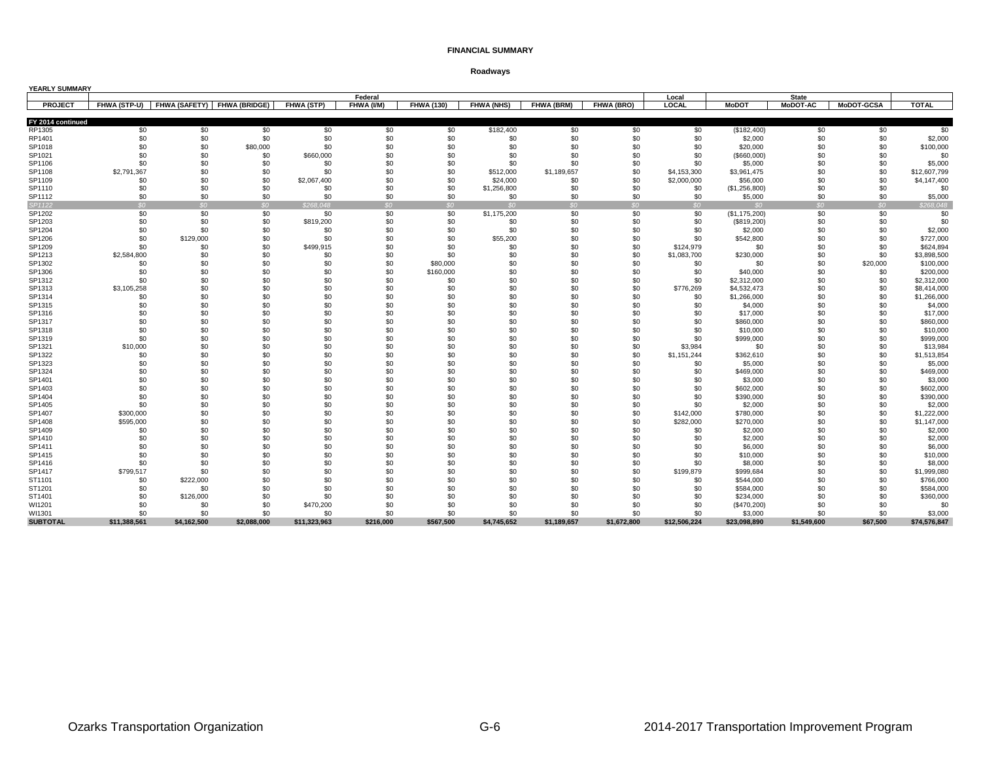| YEARLY SUMMARY    |              |             |                                          |                   |            |                   |                   |             |             |              |                        |                 |                   |              |
|-------------------|--------------|-------------|------------------------------------------|-------------------|------------|-------------------|-------------------|-------------|-------------|--------------|------------------------|-----------------|-------------------|--------------|
|                   |              |             |                                          |                   | Federal    |                   |                   |             |             | Local        |                        | <b>State</b>    |                   |              |
| <b>PROJECT</b>    |              |             | FHWA (STP-U) FHWA (SAFETY) FHWA (BRIDGE) | <b>FHWA (STP)</b> | FHWA (I/M) | <b>FHWA (130)</b> | <b>FHWA (NHS)</b> | FHWA (BRM)  | FHWA (BRO)  | LOCAL        | <b>MoDOT</b>           | <b>MoDOT-AC</b> | <b>MoDOT-GCSA</b> | <b>TOTAL</b> |
| FY 2014 continued |              |             |                                          |                   |            |                   |                   |             |             |              |                        |                 |                   |              |
| RP1305            | \$0          | \$0         | \$0                                      | \$0               | \$0        | \$0               |                   | \$0         | \$0         | \$0          |                        | \$0             | \$0               | \$0          |
| RP1401            | \$0          | \$0         | \$0                                      | \$0               | \$0        | \$0               | \$182,400<br>\$0  | \$0         | \$0         | \$0          | (\$182,400)<br>\$2,000 | \$0             | \$0               | \$2,000      |
| SP1018            | \$0          | \$0         | \$80,000                                 | \$0               | \$0        | \$0               | \$0               | \$0         | \$0         | \$0          | \$20,000               | \$0             | \$0               | \$100,000    |
| SP1021            | \$0          | \$0         | \$0                                      | \$660,000         | \$0        | \$0               | \$0               | \$0         | \$0         | \$0          | $($ \$660,000)         | \$0             | \$0               | \$0          |
| SP1106            | \$0          | \$0         | \$0                                      | \$0               | \$0        | \$0               | \$0               | \$0         | \$0         | \$0          | \$5,000                | \$0             | \$0               | \$5,000      |
| SP1108            | \$2,791,367  | \$0         | \$0                                      | \$0               | \$0        | \$0               | \$512,000         | \$1,189,657 | \$0         | \$4,153,300  | \$3,961,475            | \$0             | \$0               | \$12,607,799 |
| SP1109            | \$0          | \$0         | \$0                                      | \$2,067,400       | \$0        | \$0               | \$24,000          | \$0         | \$0         | \$2,000,000  | \$56,000               | \$0             | \$0               | \$4,147,400  |
| SP1110            | \$0          | \$0         | \$0                                      | \$0               | \$0        | \$0               | \$1,256,800       | \$0         | \$0         | \$0          | (\$1,256,800)          | \$0             | \$0               | \$0          |
| SP1112            | \$0          | \$0         | \$0                                      | \$0               | \$0        | \$0               | \$0               | \$0         | \$0         | \$0          | \$5,000                | \$0             | \$0               | \$5,000      |
| SP1122            | SO           | SO          | SO                                       | \$268.048         | SO         | SO                | SO                | SO          | SO          | SO           | $\Omega$               | SO <sub>2</sub> | SO                | \$268.048    |
| SP1202            | \$0          | \$0         | \$0                                      | \$0               | \$0        | \$0               | \$1,175,200       | \$0         | \$0         | \$0          | (\$1,175,200)          | \$0             | \$0               | \$0          |
| SP1203            | \$0          | \$0         | \$0                                      | \$819,200         | \$0        | \$0               | \$0               | \$0         | \$0         | \$0          | (\$819,200)            | \$0             | \$0               | \$0          |
| SP1204            | \$0          | \$0         | \$0                                      | \$0               | \$0        | \$0               | \$0               | \$0         | \$0         | \$0          | \$2,000                | \$0             | \$0               | \$2,000      |
| SP1206            | \$0          | \$129,000   | \$0                                      | \$0               | \$0        | \$0               | \$55,200          | \$0         | \$0         | \$0          | \$542,800              | \$0             | \$0               | \$727,000    |
| SP1209            | \$0          | \$0         | \$0                                      | \$499,915         | \$0        | \$0               | \$0               | \$0         | \$0         | \$124,979    | \$0                    | \$0             | \$0               | \$624,894    |
| SP1213            | \$2,584,800  | \$0         | \$0                                      | \$0               | \$0        | \$0               | \$0               | \$0         | \$0         | \$1,083,700  | \$230,000              | \$0             | \$0               | \$3,898,500  |
| SP1302            | \$0          | \$0         | \$0                                      | \$0               | \$0        | \$80,000          | \$0               | \$0         | \$0         | \$0          | \$0                    | \$0             | \$20,000          | \$100,000    |
| SP1306            | \$0          | \$0         | \$0                                      | \$0               | \$0        | \$160,000         | \$0               | \$0         | \$0         | \$0          | \$40,000               | \$0             | \$0               | \$200,000    |
| SP1312            | \$0          | \$0         | \$0                                      | \$0               | \$0        | \$0               | \$0               | \$0         | \$0         | \$0          | \$2,312,000            | \$0             | \$0               | \$2,312,000  |
| SP1313            | \$3,105,258  | \$0         | \$0                                      | \$0               | \$0        | \$0               | \$0               | \$0         | \$0         | \$776,269    | \$4,532,473            | \$0             | \$0               | \$8,414,000  |
| SP1314            | \$0          | \$0         | \$0                                      | \$0               | \$0        | \$0               | \$0               | \$0         | \$0         | \$0          | \$1,266,000            | \$0             | \$0               | \$1,266,000  |
| SP1315            | \$0          | \$0         | \$0                                      | \$0               | \$0        | \$0               | \$0               | \$0         | \$0         | \$0          | \$4,000                | \$0             | \$0               | \$4,000      |
| SP1316            | \$0          | \$0         | \$0                                      | \$0               | \$0        | \$0               | \$0               | \$0         | \$0         | \$0          | \$17,000               | \$0             | \$0               | \$17,000     |
| SP1317            | \$0          | \$0         | \$0                                      | \$0               | \$0        | \$0               | \$0               | \$0         | \$0         | \$0          | \$860,000              | \$0             | \$0               | \$860,000    |
| SP1318            | \$0          | \$0         | \$0                                      | \$0               | \$0        | \$0               | \$0               | \$0         | \$0         | \$0          | \$10,000               | \$0             | \$0               | \$10,000     |
| SP1319            | \$0          | \$0         | \$0                                      | \$0               | \$0        | \$0               | \$0               | \$0         | \$0         | \$0          | \$999,000              | \$0             | \$0               | \$999,000    |
| SP1321            | \$10,000     | \$0         | \$0                                      | \$0               | \$0        | \$0               | \$0               | \$0         | \$0         | \$3,984      | \$0                    | \$0             | \$0               | \$13,984     |
| SP1322            | \$0          | \$0         | \$0                                      | \$0               | \$0        | \$0               | \$0               | \$0         | \$0         | \$1,151,244  | \$362,610              | \$0             | \$0               | \$1,513,854  |
| SP1323            | \$0          | \$0         | \$0                                      | \$0               | \$0        | \$0               | \$0               | \$0         | \$0         | \$0          | \$5,000                | \$0             | \$0               | \$5,000      |
| SP1324            | \$0          | \$0         | \$0                                      | \$0               | \$0        | \$0               | \$0               | \$0         | \$0         | \$0          | \$469,000              | \$0             | \$0               | \$469,000    |
| SP1401            | \$0          | \$0         | \$0                                      | \$0               | \$0        | \$0               | \$0               | \$0         | \$0         | \$0          | \$3,000                | \$0             | \$0               | \$3,000      |
| SP1403            | \$0          | \$0         | \$0                                      | \$0               | \$0        | \$0               | \$0               | \$0         | \$0         | \$0          | \$602,000              | \$0             | \$0               | \$602,000    |
| SP1404            | \$0          | \$0         | \$0                                      | \$0               | \$0        | \$0               | \$0               | \$0         | \$0         | \$0          | \$390,000              | \$0             | \$0               | \$390,000    |
| SP1405            | \$0          | \$0         | \$0                                      | \$0               | \$0        | \$0               | \$0               | \$0         | \$0         | \$0          | \$2,000                | \$0             | \$0               | \$2,000      |
| SP1407            | \$300,000    | \$0         | \$0                                      | \$0               | \$0        | \$0               | \$0               | \$0         | \$0         | \$142,000    | \$780,000              | \$0             | \$0               | \$1,222,000  |
| SP1408            | \$595,000    | \$0         | \$0                                      | \$0               | \$0        | \$0               | \$0               | \$0         | \$0         | \$282,000    | \$270,000              | \$0             | \$0               | \$1,147,000  |
| SP1409            | \$0          | \$0         | \$0                                      | \$0               | \$0        | \$0               | \$0               | \$0         | \$0         | \$0          | \$2,000                | \$0             | \$0               | \$2,000      |
| SP1410            | \$0          | \$0         | \$0                                      | \$0               | \$0        | \$0               | \$0               | \$0         | \$0         | \$0          | \$2,000                | \$0             | \$0               | \$2,000      |
| SP1411            | \$0          | \$0         | \$0                                      | \$0               | \$0        | \$0               | \$0               | \$0         | \$0         | \$0          | \$6,000                | \$0             | \$0               | \$6,000      |
| SP1415            | \$0          | \$0         | \$0                                      | \$0               | \$0        | \$0               | \$0               | \$0         | \$0         | \$0          | \$10,000               | \$0             | \$0               | \$10,000     |
| SP1416            | \$0          | \$0         | \$0                                      | \$0               | \$0        | \$0               | \$0               | \$0         | \$0         | \$0          | \$8,000                | \$0             | \$0               | \$8,000      |
| SP1417            | \$799,517    | \$0         | \$0                                      | \$0               | \$0        | \$0               | \$0               | \$0         | \$0         | \$199,879    | \$999,684              | \$0             | \$0               | \$1,999,080  |
| ST1101            | \$0          | \$222,000   | \$0                                      | \$0               | \$0        | \$0               | \$0               | \$0         | \$0         | \$0          | \$544,000              | \$0             | \$0               | \$766,000    |
| ST1201            | \$0          | \$0         | \$0                                      | \$0               | \$0        | \$0               | \$0               | \$0         | \$0         | \$0          | \$584.000              | \$0             | \$0               | \$584,000    |
| ST1401            | \$0          | \$126,000   | \$0                                      | \$0               | \$0        | \$0               | \$0               | \$0         | \$0         | \$0          | \$234,000              | \$0             | \$0               | \$360,000    |
| WI1201            | \$0          | \$0         | \$0                                      | \$470,200         | \$0        | \$0               | \$0               | \$0         | \$0         | \$0          | (\$470,200)            | \$0             | \$0               | \$0          |
| WI1301            | \$0          | \$0         | \$0                                      | \$0               | \$0        | \$0               | \$0               | \$0         | \$0         | \$0          | \$3,000                | \$0             | \$0               | \$3,000      |
| <b>SUBTOTAL</b>   | \$11,388,561 | \$4,162,500 | \$2.088.000                              | \$11,323,963      | \$216,000  | \$567,500         | \$4,745,652       | \$1,189,657 | \$1.672.800 | \$12,506,224 | \$23,098,890           | \$1,549,600     | \$67.500          | \$74,576,847 |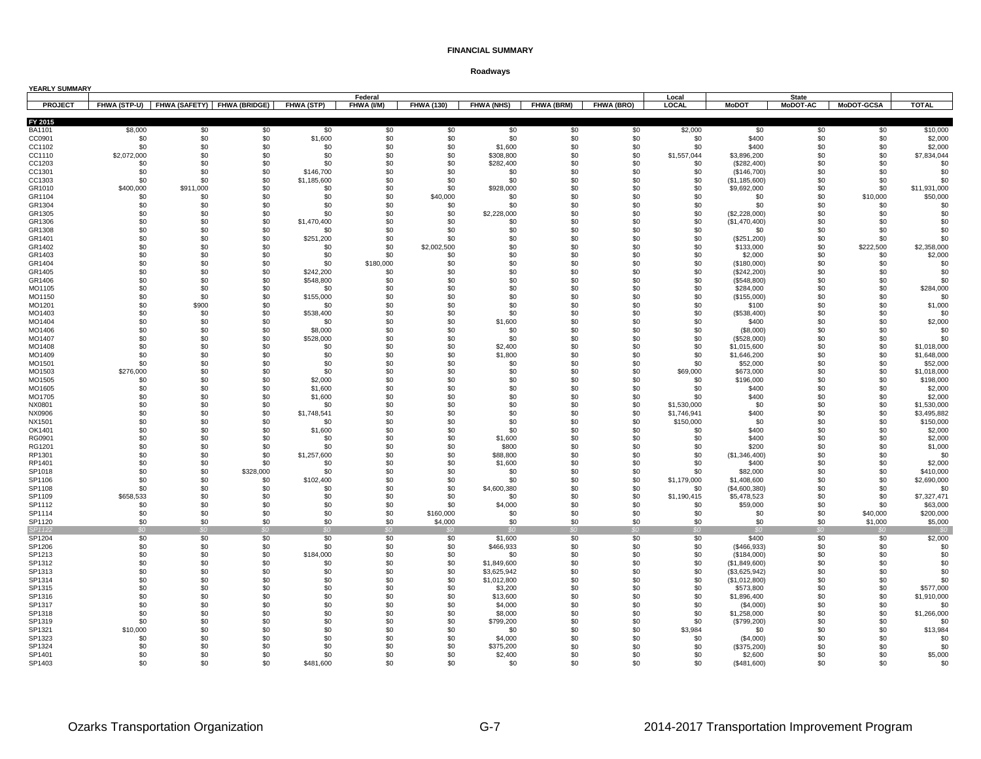| YEARLY SUMMARY   |                    |                                          |            |                    |            |                   |                      |            |                   |                    |                                |                 |                   |                         |
|------------------|--------------------|------------------------------------------|------------|--------------------|------------|-------------------|----------------------|------------|-------------------|--------------------|--------------------------------|-----------------|-------------------|-------------------------|
|                  |                    |                                          |            |                    | Federal    |                   |                      |            |                   | Local              |                                | <b>State</b>    |                   |                         |
| <b>PROJECT</b>   |                    | FHWA (STP-U) FHWA (SAFETY) FHWA (BRIDGE) |            | FHWA (STP)         | FHWA (I/M) | <b>FHWA (130)</b> | <b>FHWA (NHS)</b>    | FHWA (BRM) | <b>FHWA (BRO)</b> | LOCAL              | <b>MoDOT</b>                   | <b>MoDOT-AC</b> | <b>MoDOT-GCSA</b> | <b>TOTAL</b>            |
| FY 2015          |                    |                                          |            |                    |            |                   |                      |            |                   |                    |                                |                 |                   |                         |
| BA1101           | \$8,000            | \$0                                      | \$0        | \$0                | \$0        | \$0               | \$0                  | \$0        | \$0               | \$2,000            | \$0                            | \$0             | \$0               | \$10,000                |
| CC0901           | \$0                | \$0                                      | \$0        | \$1,600            | \$0        | \$0               | \$0                  | \$0        | \$0               | \$0                | \$400                          | \$0             | \$0               | \$2,000                 |
| CC1102<br>CC1110 | \$0<br>\$2,072,000 | \$0<br>\$0                               | \$0<br>\$0 | \$0<br>\$0         | \$0<br>\$0 | \$0<br>\$0        | \$1,600<br>\$308,800 | \$0<br>\$0 | \$0<br>\$0        | \$0<br>\$1,557,044 | \$400<br>\$3,896,200           | \$0<br>\$0      | \$0<br>\$0        | \$2,000<br>\$7,834,044  |
| CC1203           | \$0                | \$0                                      | \$0        | \$0                | \$0        | \$0               | \$282,400            | \$0        | \$0               | \$0                | (\$282,400)                    | \$0             | \$0               | \$0                     |
| CC1301           | \$0                | \$0                                      | \$0        | \$146,700          | \$0        | \$0               | \$0                  | \$0        | \$0               | \$0                | (\$146,700)                    | \$0             | \$0               | \$0                     |
| CC1303           | \$0                | \$0                                      | \$0        | \$1,185,600        | \$0        | \$0               | \$0                  | \$0        | \$0               | \$0                | (\$1,185,600)                  | \$0             | \$0               | \$0                     |
| GR1010           | \$400,000          | \$911,000                                | \$0        | \$0                | \$0        | \$0               | \$928,000            | \$0        | \$0               | \$0                | \$9,692,000                    | \$0             | \$0               | \$11,931,000            |
| GR1104           | \$0                | \$0                                      | \$0        | \$0                | \$0        | \$40,000          | \$0                  | \$0        | \$0               | \$0                | \$0                            | \$0             | \$10,000          | \$50,000                |
| GR1304           | \$0                | \$0                                      | \$0        | \$0                | \$0        | \$0               | \$0                  | \$0        | \$0               | \$0                | \$0                            | \$0             | \$0               | \$0                     |
| GR1305<br>GR1306 | \$0<br>\$0         | \$0<br>\$0                               | \$0<br>\$0 | \$0<br>\$1,470,400 | \$0<br>\$0 | \$0<br>\$0        | \$2,228,000<br>\$0   | \$0<br>\$0 | \$0<br>\$0        | \$0<br>\$0         | (\$2,228,000)<br>(\$1,470,400) | \$0<br>\$0      | \$0<br>\$0        | \$0<br>\$0              |
| GR1308           | \$0                | \$0                                      | \$0        | \$0                | \$0        | \$0               | \$0                  | \$0        | \$0               | \$0                | \$0                            | \$0             | \$0               | \$0                     |
| GR1401           | \$0                | \$0                                      | \$0        | \$251,200          | \$0        | \$0               | \$0                  | \$0        | \$0               | \$0                | (\$251,200)                    | \$0             | \$0               | \$0                     |
| GR1402           | \$0                | \$0                                      | \$0        | \$0                | \$0        | \$2,002,500       | \$0                  | \$0        | \$0               | \$0                | \$133,000                      | \$0             | \$222,500         | \$2,358,000             |
| GR1403           | \$0                | \$0                                      | \$0        | \$0                | \$0        | \$0               | \$0                  | \$0        | \$0               | \$0                | \$2,000                        | \$0             | \$0               | \$2,000                 |
| GR1404           | \$0                | \$0                                      | \$0        | \$0                | \$180,000  | \$0               | \$0                  | \$0        | \$0               | \$0                | (\$180,000)                    | \$0             | \$0               | \$0                     |
| GR1405           | \$0                | \$0                                      | \$0        | \$242,200          | \$0        | \$0               | \$0                  | \$0        | \$0               | \$0                | (\$242,200)                    | \$0             | \$0               | \$0                     |
| GR1406<br>MO1105 | \$0<br>\$0         | \$0<br>\$0                               | \$0<br>\$0 | \$548,800<br>\$0   | \$0<br>\$0 | \$0<br>\$0        | \$0<br>\$0           | \$0<br>\$0 | \$0<br>\$0        | \$0<br>\$0         | (\$548,800)<br>\$284,000       | \$0<br>\$0      | \$0<br>\$0        | \$0<br>\$284,000        |
| MO1150           | \$0                | \$0                                      | \$0        | \$155,000          | \$0        | \$0               | \$0                  | \$0        | \$0               | \$0                | (\$155,000)                    | \$0             | \$0               | \$0                     |
| MO1201           | \$0                | \$900                                    | \$0        | \$0                | \$0        | \$0               | \$0                  | \$0        | \$0               | \$0                | \$100                          | \$0             | \$0               | \$1,000                 |
| MO1403           | \$0                | \$0                                      | \$0        | \$538,400          | \$0        | \$0               | \$0                  | \$0        | \$0               | \$0                | (\$538,400)                    | \$0             | \$0               | \$0                     |
| MO1404           | \$0                | \$0                                      | \$0        | \$0                | \$0        | \$0               | \$1,600              | \$0        | \$0               | \$0                | \$400                          | \$0             | \$0               | \$2,000                 |
| MO1406           | \$0                | \$0                                      | \$0        | \$8,000            | \$0        | \$0               | \$0                  | \$0        | \$0               | \$0                | (\$8,000)                      | \$0             | \$0               | \$0                     |
| MO1407           | \$0                | \$0                                      | \$0        | \$528,000          | \$0        | \$0               | \$0                  | \$0        | \$0               | \$0                | (\$528,000)                    | \$0             | \$0               | \$0                     |
| MO1408           | \$0                | \$0                                      | \$0        | \$0                | \$0        | \$0               | \$2,400              | \$0        | \$0               | \$0                | \$1,015,600                    | \$0             | \$0               | \$1,018,000             |
| MO1409<br>MO1501 | \$0<br>\$0         | \$0<br>\$0                               | \$0<br>\$0 | \$0<br>\$0         | \$0<br>\$0 | \$0<br>\$0        | \$1,800<br>\$0       | \$0<br>\$0 | \$0<br>\$0        | \$0<br>\$0         | \$1,646,200<br>\$52,000        | \$0<br>\$0      | \$0<br>\$0        | \$1,648,000<br>\$52,000 |
| MO1503           | \$276,000          | \$0                                      | \$0        | \$0                | \$0        | \$0               | \$0                  | \$0        | \$0               | \$69,000           | \$673,000                      | \$0             | \$0               | \$1,018,000             |
| MO1505           | \$0                | \$0                                      | \$0        | \$2,000            | \$0        | \$0               | \$0                  | \$0        | \$0               | \$0                | \$196,000                      | \$0             | \$0               | \$198,000               |
| MO1605           | \$0                | \$0                                      | \$0        | \$1,600            | \$0        | \$0               | \$0                  | \$0        | \$0               | \$0                | \$400                          | \$0             | \$0               | \$2,000                 |
| MO1705           | \$0                | \$0                                      | \$0        | \$1,600            | \$0        | \$0               | \$0                  | \$0        | \$0               | \$0                | \$400                          | \$0             | \$0               | \$2,000                 |
| NX0801           | \$0                | \$0                                      | \$0        | \$0                | \$0        | \$0               | \$0                  | \$0        | \$0               | \$1,530,000        | \$0                            | \$0             | \$0               | \$1,530,000             |
| NX0906           | \$0                | \$0                                      | \$0        | \$1,748,541        | \$0        | \$0               | \$0                  | \$0        | \$0               | \$1,746,941        | \$400                          | \$0             | \$0               | \$3,495,882             |
| NX1501<br>OK1401 | \$0<br>\$0         | \$0<br>\$0                               | \$0<br>\$0 | \$0<br>\$1,600     | \$0<br>\$0 | \$0<br>\$0        | \$0<br>\$0           | \$0<br>\$0 | \$0<br>\$0        | \$150,000<br>\$0   | \$0<br>\$400                   | \$0<br>\$0      | \$0<br>\$0        | \$150,000<br>\$2,000    |
| RG0901           | \$0                | \$0                                      | \$0        | \$0                | \$0        | \$0               | \$1,600              | \$0        | \$0               | \$0                | \$400                          | \$0             | \$0               | \$2,000                 |
| RG1201           | \$0                | \$0                                      | \$0        | \$0                | \$0        | \$0               | \$800                | \$0        | \$0               | \$0                | \$200                          | \$0             | \$0               | \$1,000                 |
| RP1301           | \$0                | \$0                                      | \$0        | \$1,257,600        | \$0        | \$0               | \$88,800             | \$0        | \$0               | \$0                | (\$1,346,400)                  | \$0             | \$0               | \$0                     |
| RP1401           | \$0                | \$0                                      | \$0        | \$0                | \$0        | \$0               | \$1,600              | \$0        | \$0               | \$0                | \$400                          | \$0             | \$0               | \$2,000                 |
| SP1018           | \$0                | \$0                                      | \$328,000  | \$0                | \$0        | \$0               | \$0                  | \$0        | \$0               | \$0                | \$82,000                       | \$0             | \$0               | \$410,000               |
| SP1106           | \$0                | \$0                                      | \$0        | \$102,400          | \$0        | \$0               | \$0                  | \$0        | \$0               | \$1,179,000        | \$1,408,600                    | \$0             | \$0               | \$2,690,000             |
| SP1108<br>SP1109 | \$0<br>\$658,533   | \$0<br>\$0                               | \$0<br>\$0 | \$0<br>\$0         | \$0<br>\$0 | \$0<br>\$0        | \$4,600,380<br>\$0   | \$0<br>\$0 | \$0<br>\$0        | \$0<br>\$1,190,415 | (\$4,600,380)<br>\$5,478,523   | \$0<br>\$0      | \$0<br>\$0        | \$0<br>\$7,327,471      |
| SP1112           | \$0                | \$0                                      | \$0        | \$0                | \$0        | \$0               | \$4,000              | \$0        | \$0               | \$0                | \$59,000                       | \$0             | \$0               | \$63,000                |
| SP1114           | \$0                | \$0                                      | \$0        | \$0                | \$0        | \$160,000         | \$0                  | \$0        | \$0               | \$0                | \$0                            | \$0             | \$40,000          | \$200,000               |
| SP1120           | \$0                | \$0                                      | \$0        | \$0                | \$0        | \$4,000           | \$0                  | \$0        | \$0               | \$0                | \$0                            | \$0             | \$1,000           | \$5,000                 |
| SP1122           |                    |                                          |            |                    |            |                   |                      |            |                   |                    |                                |                 |                   |                         |
| SP1204           | \$0                | \$0                                      | \$0        | \$0                | \$0        | \$0               | \$1,600              | \$0        | \$0               | \$0                | \$400                          | \$0             | \$0               | \$2,000                 |
| SP1206           | \$0                | \$0                                      | \$0        | \$0                | \$0        | \$0               | \$466,933            | \$0        | \$0               | \$0                | (\$466,933)                    | \$0             | \$0               | \$0                     |
| SP1213<br>SP1312 | \$0<br>\$0         | \$0<br>\$0                               | \$0<br>\$0 | \$184,000<br>\$0   | \$0<br>\$0 | \$0<br>\$0        | \$0<br>\$1,849,600   | \$0<br>\$0 | \$0<br>\$0        | \$0<br>\$0         | (\$184,000)<br>(\$1,849,600)   | \$0<br>\$0      | \$0<br>\$0        | \$0<br>\$0              |
| SP1313           | \$0                | \$0                                      | \$0        | \$0                | \$0        | \$0               | \$3,625,942          | \$0        | \$0               | \$0                | (\$3,625,942)                  | \$0             | \$0               | \$0                     |
| SP1314           | \$0                | \$0                                      | \$0        | \$0                | \$0        | \$0               | \$1,012,800          | \$0        | \$0               | \$0                | (\$1,012,800)                  | \$0             | \$0               | \$0                     |
| SP1315           | \$0                | \$0                                      | \$0        | \$0                | \$0        | \$0               | \$3,200              | \$0        | \$0               | \$0                | \$573,800                      | \$0             | \$0               | \$577,000               |
| SP1316           | \$0                | \$0                                      | \$0        | \$0                | \$0        | \$0               | \$13,600             | \$0        | \$0               | \$0                | \$1,896,400                    | \$0             | \$0               | \$1,910,000             |
| SP1317           | \$0                | \$0                                      | \$0        | \$0                | \$0        | \$0               | \$4,000              | \$0        | \$0               | \$0                | (\$4,000)                      | \$0             | \$0               | \$0                     |
| SP1318           | \$0                | \$0                                      | \$0        | \$0                | \$0        | \$0               | \$8,000              | \$0        | \$0               | \$0                | \$1,258,000                    | \$0             | \$0               | \$1,266,000             |
| SP1319<br>SP1321 | \$0<br>\$10,000    | \$0<br>\$0                               | \$0<br>\$0 | \$0<br>\$0         | \$0<br>\$0 | \$0<br>\$0        | \$799,200<br>\$0     | \$0<br>\$0 | \$0<br>\$0        | \$0<br>\$3,984     | (\$799,200)<br>\$0             | \$0<br>\$0      | \$0<br>\$0        | \$0<br>\$13,984         |
| SP1323           | \$0                | \$0                                      | \$0        | \$0                | \$0        | \$0               | \$4,000              | \$0        | \$0               | \$0                | (\$4,000)                      | \$0             | \$0               | \$0                     |
| SP1324           | \$0                | \$0                                      | \$0        | \$0                | \$0        | \$0               | \$375,200            | \$0        | \$0               | \$0                | (\$375,200)                    | \$0             | \$0               | \$0                     |
| SP1401           | \$0                | \$0                                      | \$0        | \$0                | \$0        | \$0               | \$2,400              | \$0        | \$0               | \$0                | \$2,600                        | \$0             | \$0               | \$5,000                 |
| SP1403           | \$0                | .ፍስ                                      | \$0        | \$481.600          | \$0        | \$0               | \$0                  | \$0        | \$0               | \$0                | (S481.600)                     | \$0             | \$0               | \$0                     |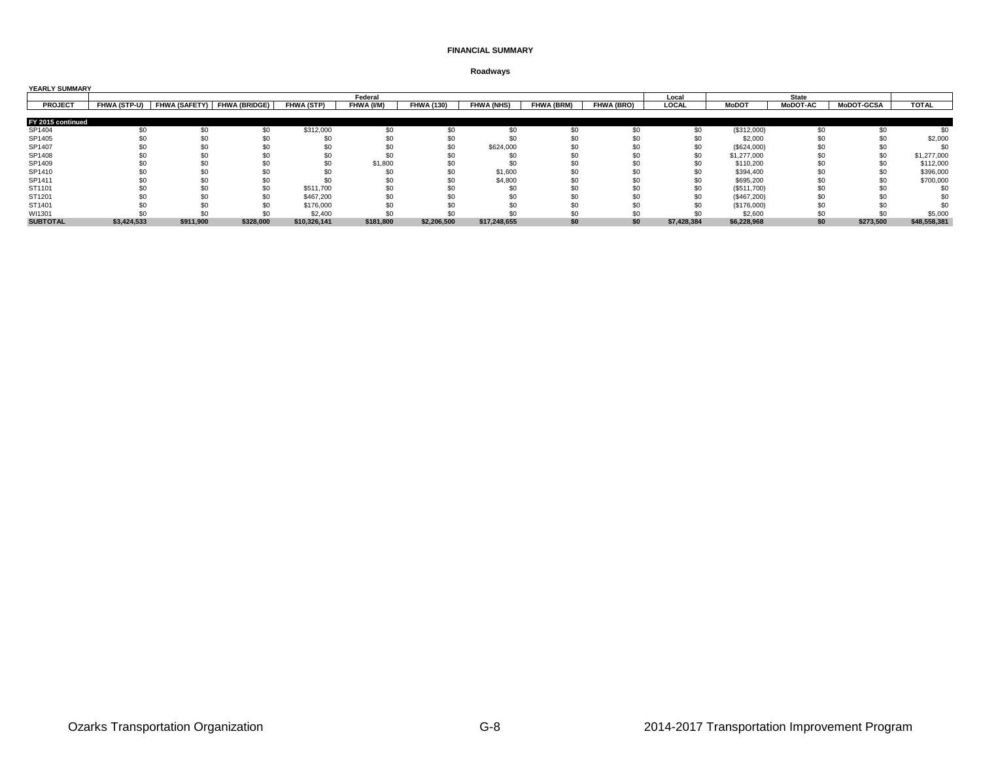| <b>YEARLY SUMMARY</b> |             |           |                                          |              |            |                   |                   |                   |                   |              |              |                 |                   |              |
|-----------------------|-------------|-----------|------------------------------------------|--------------|------------|-------------------|-------------------|-------------------|-------------------|--------------|--------------|-----------------|-------------------|--------------|
|                       |             |           |                                          |              | Federal    |                   |                   |                   |                   | Local        |              | <b>State</b>    |                   |              |
| <b>PROJECT</b>        |             |           | FHWA (STP-U) FHWA (SAFETY) FHWA (BRIDGE) | FHWA (STP)   | FHWA (I/M) | <b>FHWA (130)</b> | <b>FHWA (NHS)</b> | <b>FHWA (BRM)</b> | <b>FHWA (BRO)</b> | <b>LOCAL</b> | <b>MoDOT</b> | <b>MoDOT-AC</b> | <b>MoDOT-GCSA</b> | <b>TOTAL</b> |
|                       |             |           |                                          |              |            |                   |                   |                   |                   |              |              |                 |                   |              |
| FY 2015 continued     |             |           |                                          |              |            |                   |                   |                   |                   |              |              |                 |                   |              |
| SP1404                |             |           | \$0                                      | \$312,000    |            |                   |                   |                   |                   |              | (\$312,000)  | \$0             | \$0               |              |
| SP1405                |             |           |                                          |              |            |                   |                   |                   |                   |              | \$2,000      |                 |                   | \$2,000      |
| SP1407                |             |           |                                          |              |            |                   | \$624,000         |                   |                   |              | (\$624,000)  |                 |                   |              |
| SP1408                |             |           |                                          |              |            |                   |                   |                   |                   |              | \$1,277,000  |                 | \$0               | \$1,277,000  |
| SP1409                |             |           |                                          | \$C          | \$1,800    |                   |                   |                   |                   |              | \$110,200    |                 | \$0               | \$112,000    |
| SP1410                |             |           |                                          |              |            | \$0               | \$1,600           |                   |                   |              | \$394,400    | \$0             | \$0               | \$396,000    |
| SP1411                |             | \$0       |                                          |              |            |                   | \$4,800           |                   |                   |              | \$695,200    |                 | \$0               | \$700,000    |
| ST1101                |             |           |                                          | \$511,700    |            |                   |                   |                   |                   |              | (\$511,700)  |                 |                   |              |
| ST1201                |             |           |                                          | \$467,200    |            |                   |                   |                   |                   |              | (\$467,200)  |                 |                   |              |
| ST1401                |             |           |                                          | \$176,000    |            |                   |                   |                   |                   |              | (\$176,000)  | \$0             |                   |              |
| WI1301                |             |           |                                          | \$2,400      |            |                   |                   |                   |                   |              | \$2,600      |                 |                   | \$5,000      |
| <b>SUBTOTAL</b>       | \$3,424,533 | \$911,900 | \$328,000                                | \$10,326,141 | \$181,800  | \$2,206,500       | \$17,248,655      |                   | \$0               | \$7,428,384  | \$6,228,968  | \$0             | \$273,500         | \$48,558,381 |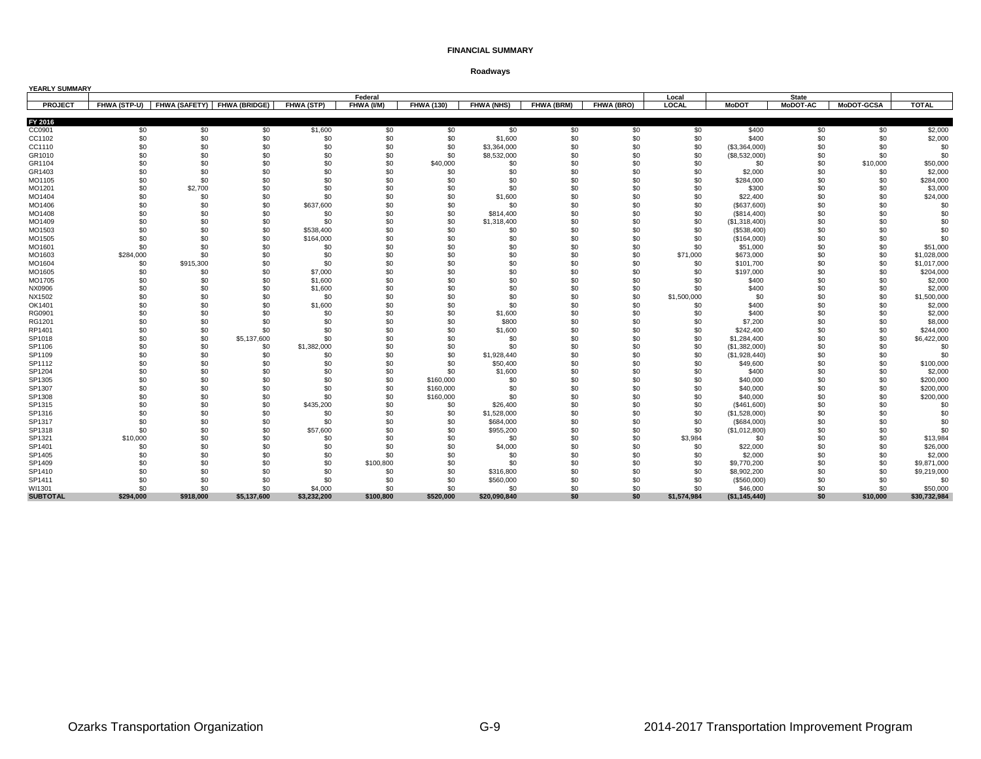| YEARLY SUMMARY  |                     |           |                             |                   |            |                   |                   |            |            |             |               |                 |                   |              |
|-----------------|---------------------|-----------|-----------------------------|-------------------|------------|-------------------|-------------------|------------|------------|-------------|---------------|-----------------|-------------------|--------------|
|                 |                     |           |                             |                   | Federal    |                   |                   |            |            | Local       |               | <b>State</b>    |                   |              |
| <b>PROJECT</b>  | <b>FHWA (STP-U)</b> |           | FHWA (SAFETY) FHWA (BRIDGE) | <b>FHWA (STP)</b> | FHWA (I/M) | <b>FHWA (130)</b> | <b>FHWA (NHS)</b> | FHWA (BRM) | FHWA (BRO) | LOCAL       | <b>MoDOT</b>  | <b>MoDOT-AC</b> | <b>MoDOT-GCSA</b> | <b>TOTAL</b> |
| FY 2016         |                     |           |                             |                   |            |                   |                   |            |            |             |               |                 |                   |              |
| CC0901          | \$0                 | \$0       | \$0                         | \$1,600           | \$0        | \$0               | \$0               | \$0        | \$0        | \$0         | \$400         | \$0             | \$0               | \$2,000      |
| CC1102          | \$0                 | \$0       | \$0                         | \$0               | \$0        | \$0               | \$1,600           | \$0        | \$0        | \$0         | \$400         | \$0             | \$0               | \$2,000      |
| CC1110          | \$0                 | \$0       | \$0                         | \$0               | \$0        | \$0               | \$3,364,000       | \$0        | \$0        | \$0         | (\$3,364,000) | \$0             | \$0               | \$0          |
| GR1010          | \$0                 | \$0       | \$0                         | \$0               | \$0        | \$0               | \$8,532,000       | \$0        | \$0        | \$0         | (\$8,532,000) | \$0             | \$0               | \$0          |
| GR1104          | \$0                 | \$0       | \$0                         | \$0               | \$0        | \$40,000          | \$0               | \$0        | \$0        | \$0         | \$0           | \$0             | \$10,000          | \$50,000     |
| GR1403          | \$0                 | \$0       | \$0                         | \$0               | \$0        | \$0               | \$0               | \$0        | \$0        | \$0         | \$2,000       | \$0             | \$0               | \$2,000      |
| MO1105          | \$0                 | \$0       | \$0                         | \$0               | \$0        | \$0               | \$0               | \$0        | \$0        | \$0         | \$284,000     | \$0             | \$0               | \$284,000    |
| MO1201          | \$0                 | \$2,700   | \$0                         | \$0               | \$0        | \$0               | \$0               | \$0        | \$0        | \$0         | \$300         | \$0             | \$0               | \$3,000      |
| MO1404          | \$0                 | \$0       | \$0                         | \$0               | \$0        | \$0               | \$1,600           | \$0        | \$0        | \$0         | \$22,400      | \$0             | \$0               | \$24,000     |
| MO1406          | \$0                 | \$0       | \$0                         | \$637,600         | \$0        | \$0               | \$0               | \$0        | \$0        | \$0         | (\$637,600)   | \$0             | \$0               | \$0          |
| MO1408          | \$0                 | \$0       | \$0                         | \$0               | \$0        | \$0               | \$814,400         | \$0        | \$0        | \$0         | (\$814,400)   | \$0             | \$0               | \$0          |
| MO1409          | \$0                 | \$0       | \$0                         | \$0               | \$0        | \$0               | \$1,318,400       | \$0        | \$0        | \$0         | (\$1,318,400) | \$0             | \$0               | \$0          |
| MO1503          | \$0                 | \$0       | \$0                         | \$538,400         | \$0        | \$0               | \$0               | \$0        | \$0        | \$0         | (\$538,400)   | \$0             | \$0               | \$0          |
| MO1505          | \$0                 | \$0       | \$0                         | \$164,000         | \$0        | \$0               | \$0               | \$0        | \$0        | \$0         | (\$164,000)   | \$0             | \$0               | \$0          |
| MO1601          | \$0                 | \$0       | \$0                         | \$0               | \$0        | \$0               | \$0               | \$0        | \$0        | \$0         | \$51,000      | \$0             | \$0               | \$51,000     |
| MO1603          | \$284,000           | \$0       | \$0                         | \$0               | \$0        | \$0               | \$0               | \$0        | \$0        | \$71,000    | \$673,000     | \$0             | \$0               | \$1,028,000  |
| MO1604          | \$0                 | \$915,300 | \$0                         | \$0               | \$0        | \$0               | \$0               | \$0        | \$0        | \$0         | \$101,700     | \$0             | \$0               | \$1,017,000  |
| MO1605          | \$0                 | \$0       | \$0                         | \$7,000           | \$0        | \$0               | \$0               | \$0        | \$0        | \$0         | \$197,000     | \$0             | \$0               | \$204,000    |
| MO1705          | \$0                 | \$0       | \$0                         | \$1,600           | \$0        | \$0               | \$0               | \$0        | \$0        | \$0         | \$400         | \$0             | \$0               | \$2,000      |
| NX0906          | \$0                 | \$0       | \$0                         | \$1,600           | \$0        | \$0               | \$0               | \$0        | \$0        | \$0         | \$400         | \$0             | \$0               | \$2,000      |
| NX1502          | \$0                 | \$0       | \$0                         | \$0               | \$0        | \$0               | \$0               | \$0        | \$0        | \$1,500,000 | \$0           | \$0             | \$0               | \$1,500,000  |
| OK1401          | \$0                 | \$0       | \$0                         | \$1,600           | \$0        | \$0               | \$0               | \$0        | \$0        | \$0         | \$400         | \$0             | \$0               | \$2,000      |
| RG0901          | \$0                 | \$0       | \$0                         | \$0               | \$0        | \$0               | \$1,600           | \$0        | \$0        | \$0         | \$400         | \$0             | \$0               | \$2,000      |
| RG1201          | \$0                 | \$0       | \$0                         | \$0               | \$0        | \$0               | \$800             | \$0        | \$0        | \$0         | \$7,200       | \$0             | \$0               | \$8,000      |
| RP1401          | \$0                 | \$0       | \$0                         | \$0               | \$0        | \$0               | \$1,600           | \$0        | \$0        | \$0         | \$242,400     | \$0             | \$0               | \$244,000    |
| SP1018          | \$0                 | \$0       | \$5,137,600                 | \$0               | \$0        | \$0               | \$0               | \$0        | \$0        | \$0         | \$1,284,400   | \$0             | \$0               | \$6,422,000  |
| SP1106          | \$0                 | \$0       | \$0                         | \$1,382,000       | \$0        | \$0               | \$0               | \$0        | \$0        | \$0         | (\$1,382,000) | \$0             | \$0               | \$0          |
| SP1109          | \$0                 | \$0       | \$0                         | \$0               | \$0        | \$0               | \$1,928,440       | \$0        | \$0        | \$0         | (\$1,928,440) | \$0             | \$0               | \$0          |
| SP1112          | \$0                 | \$0       | \$0                         | \$0               | \$0        | \$0               | \$50,400          | \$0        | \$0        | \$0         | \$49,600      | \$0             | \$0               | \$100,000    |
| SP1204          | \$0                 | \$0       | \$0                         | \$0               | \$0        | \$0               | \$1,600           | \$0        | \$0        | \$0         | \$400         | \$0             | \$0               | \$2,000      |
| SP1305          | \$0                 | \$0       | \$0                         | \$0               | \$0        | \$160,000         | \$0               | \$0        | \$0        | \$0         | \$40,000      | \$0             | \$0               | \$200,000    |
| SP1307          | \$0                 | \$0       | \$0                         | \$0               | \$0        | \$160,000         | \$0               | \$0        | \$0        | \$0         | \$40,000      | \$0             | \$0               | \$200,000    |
| SP1308          | \$0                 | \$0       | \$0                         | \$0               | \$0        | \$160,000         | \$0               | \$0        | \$0        | \$0         | \$40,000      | \$0             | \$0               | \$200,000    |
| SP1315          | \$0                 | \$0       | \$0                         | \$435,200         | \$0        | \$0               | \$26,400          | \$0        | \$0        | \$0         | (\$461,600)   | \$0             | \$0               | \$0          |
| SP1316          | \$0                 | \$0       | \$0                         | \$0               | \$0        | \$0               | \$1,528,000       | \$0        | \$0        | \$0         | (\$1,528,000) | \$0             | \$0               | \$0          |
| SP1317          | \$0                 | \$0       | \$0                         | \$0               | \$0        | \$0               | \$684,000         | \$0        | \$0        | \$0         | (\$684,000)   | \$0             | \$0               | \$0          |
| SP1318          | \$0                 | \$0       | \$0                         | \$57,600          | \$0        | \$0               | \$955,200         | \$0        | \$0        | \$0         | (\$1,012,800) | \$0             | \$0               | \$0          |
| SP1321          | \$10,000            | \$0       | \$0                         | \$0               | \$0        | \$0               | \$0               | \$0        | \$0        | \$3,984     | \$0           | \$0             | \$0               | \$13,984     |
| SP1401          | \$0                 | \$0       | \$0                         | \$0               | \$0        | \$0               | \$4,000           | \$0        | \$0        | \$0         | \$22,000      | \$0             | \$0               | \$26,000     |
| SP1405          | \$0                 | \$0       | \$0                         | \$0               | \$0        | \$0               | \$0               | \$0        | \$0        | \$0         | \$2,000       | \$0             | \$0               | \$2,000      |
| SP1409          | \$0                 | \$0       | \$0                         | \$0               | \$100,800  | \$0               | \$0               | \$0        | \$0        | \$0         | \$9,770,200   | \$0             | \$0               | \$9,871,000  |
| SP1410          | \$0                 | \$0       | \$0                         | \$0               | \$0        | \$0               | \$316,800         | \$0        | \$0        | \$0         | \$8,902,200   | \$0             | \$0               | \$9,219,000  |
| SP1411          | \$0                 | \$0       | \$0                         | \$0               | \$0        | \$0               | \$560,000         | \$0        | \$0        | \$0         | (\$560,000)   | \$0             | \$0               | \$0          |
| WI1301          | \$0                 | \$0       | \$0                         | \$4,000           | \$0        | \$0               | \$0               | \$0        | \$0        | \$0         | \$46,000      | \$0             | \$0               | \$50,000     |
| <b>SUBTOTAL</b> | \$294.000           | \$918.000 | \$5,137,600                 | \$3,232,200       | \$100.800  | \$520.000         | \$20,090,840      | \$0        | \$0        | \$1,574,984 | (\$1,145,440) | \$0             | \$10.000          | \$30,732,984 |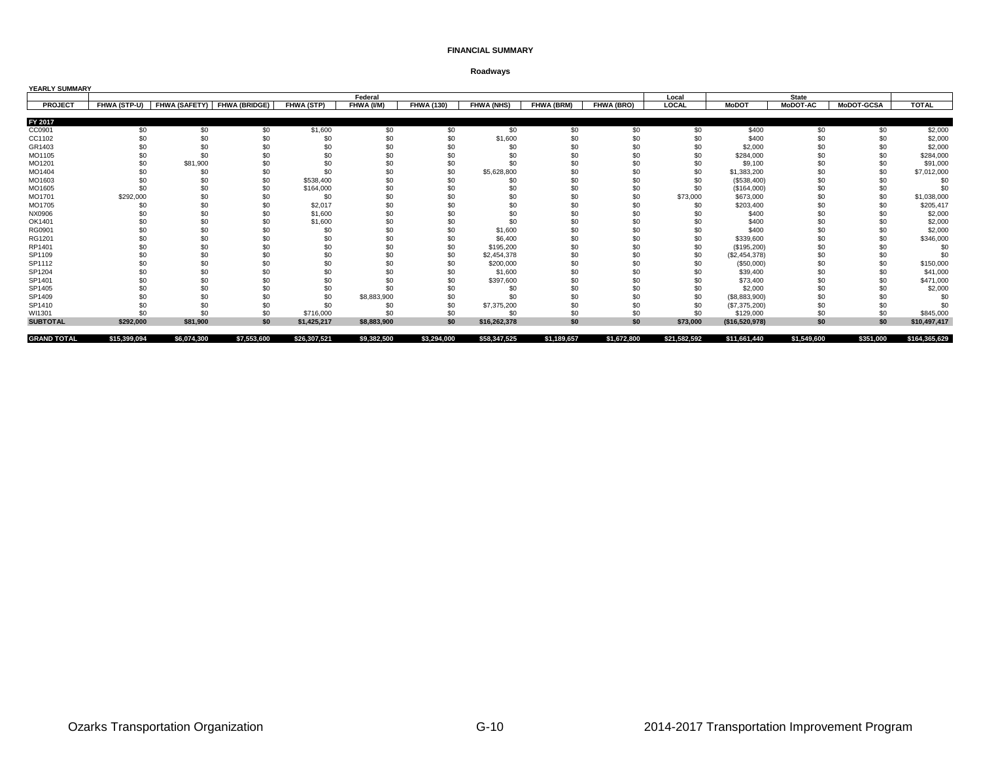| YEARLY SUMMARY     |              |                      |                      |                   |             |                   |                   |                   |             |              |                |                 |                   |               |
|--------------------|--------------|----------------------|----------------------|-------------------|-------------|-------------------|-------------------|-------------------|-------------|--------------|----------------|-----------------|-------------------|---------------|
|                    |              |                      |                      |                   | Federal     |                   |                   |                   |             | Local        |                | <b>State</b>    |                   |               |
| <b>PROJECT</b>     | FHWA (STP-U) | <b>FHWA (SAFETY)</b> | <b>FHWA (BRIDGE)</b> | <b>FHWA (STP)</b> | FHWA (I/M)  | <b>FHWA (130)</b> | <b>FHWA (NHS)</b> | <b>FHWA (BRM)</b> | FHWA (BRO)  | LOCAL        | <b>MoDOT</b>   | <b>MoDOT-AC</b> | <b>MoDOT-GCSA</b> | <b>TOTAL</b>  |
| FY 2017            |              |                      |                      |                   |             |                   |                   |                   |             |              |                |                 |                   |               |
| CC0901             | \$0          | \$0                  | \$0                  | \$1,600           | \$0         | \$0               | \$0               | \$0               | \$0         | \$0          | \$400          | \$0             | \$0               | \$2,000       |
| CC1102             | \$0          | \$0                  | \$0                  | \$0               | \$0         | \$0               | \$1,600           | \$0               | \$0         | \$0          | \$400          | \$0             | \$0               | \$2,000       |
| GR1403             |              | \$0                  | \$0                  | \$0               | \$0         | \$0               | \$0               | \$0               | \$0         | \$0          | \$2,000        | \$0             | \$0               | \$2,000       |
| MO1105             | \$0          | \$0                  | \$0                  | \$0               | \$0         | \$0               | \$0               | \$0               | \$0         | \$0          | \$284,000      | \$0             | \$0               | \$284,000     |
| MO1201             |              | \$81,900             |                      | \$0               | \$0         | \$0               | \$0               | \$0               | \$C         | \$0          | \$9,100        | \$0             | \$(               | \$91,000      |
| MO1404             | \$0          | \$0                  | \$0                  | \$0               | \$0         | \$0               | \$5,628,800       | \$0               | \$0         | \$0          | \$1,383,200    | \$0             | \$0               | \$7,012,000   |
| MO1603             | \$0          | \$0                  | \$0                  | \$538,400         | \$0         | \$0               | \$0               | \$0               | \$0         | \$0          | (\$538,400)    | \$0             | \$C               | \$0           |
| MO1605             | \$0          | \$0                  | \$0                  | \$164,000         | \$0         | \$0               | \$0               | \$0               | \$0         | \$0          | (\$164,000)    | \$0             | \$0               | \$0           |
| MO1701             | \$292,000    | \$0                  | \$0                  | \$0               | \$0         | \$0               | \$0               | \$0               | \$0         | \$73,000     | \$673,000      | \$0             | \$0               | \$1,038,000   |
| MO1705             | \$0          | \$0                  | \$0                  | \$2,017           | \$0         | \$0               | \$0               | \$0               | \$C         | \$0          | \$203,400      | \$0             | \$0               | \$205,417     |
| NX0906             | \$0          | \$0                  | \$0                  | \$1,600           | \$0         | \$0               | \$0               | \$0               | \$0         |              | \$400          | \$0             | \$0               | \$2,000       |
| OK1401             | \$0          | \$0                  | \$0                  | \$1,600           | \$0         | \$0               | \$0               | \$0               | \$0         | \$0          | \$400          | \$0             | \$0               | \$2,000       |
| RG0901             | \$0          | \$0                  | \$0                  | \$0               | \$0         | \$0               | \$1,600           | \$0               | \$0         | \$0          | \$400          | \$0             | \$0               | \$2,000       |
| RG1201             | \$0          | \$0                  | \$0                  | \$0               | \$0         | \$0               | \$6,400           | \$0               | \$0         | \$0          | \$339,600      | \$0             | \$0               | \$346,000     |
| RP1401             |              | \$0                  | \$0                  | \$0               | \$0         | \$0               | \$195,200         | \$0               | \$C         | \$0          | (\$195,200)    | \$0             | \$C               | \$0           |
| SP1109             | \$0          | \$0                  | \$0                  | \$0               | \$0         | \$0               | \$2,454,378       | \$0               | \$0         | \$0          | (\$2,454,378)  | \$0             | \$0               | \$0           |
| SP1112             | \$0          | \$0                  | \$0                  | \$0               | \$0         | \$0               | \$200,000         | \$0               | \$0         | \$0          | ( \$50,000)    | \$0             | \$0               | \$150,000     |
| SP1204             |              | \$0                  | \$0                  | \$0               | \$0         | \$0               | \$1,600           | \$0               | \$C         | \$0          | \$39,400       | \$0             | \$ <sub>6</sub>   | \$41,000      |
| SP1401             |              | \$0                  | \$0                  | \$0               | \$0         | \$0               | \$397,600         | \$0               | \$0         | \$0          | \$73,400       | \$0             | \$0               | \$471,000     |
| SP1405             |              | \$0                  | \$0                  | \$0               | \$0         | \$0               | \$0               | \$0               | \$0         | \$0          | \$2,000        | \$0             | \$0               | \$2,000       |
| SP1409             | \$0          | \$0                  | \$0                  | \$0               | \$8,883,900 | \$0               | \$0               | \$0               | \$0         | \$0          | (\$8,883,900)  | \$0             | \$0               | \$0           |
| SP1410             |              | \$0                  | \$0                  | \$0               | \$0         | \$0               | \$7,375,200       | \$0               | \$0         | \$0          | (\$7,375,200)  | \$0             | \$0               | \$ſ           |
| WI1301             | \$0          | \$0                  | \$0                  | \$716,000         | \$0         | \$0               | \$0               | \$0               | \$0         | \$0          | \$129,000      | \$0             | \$0               | \$845,000     |
| <b>SUBTOTAL</b>    | \$292,000    | \$81,900             | \$0                  | \$1.425.217       | \$8,883,900 | \$0               | \$16.262.378      | \$0               | \$0         | \$73,000     | (\$16,520,978) | \$0             | \$0               | \$10,497,417  |
| <b>GRAND TOTAL</b> | \$15,399,094 | \$6,074,300          | \$7,553,600          | \$26,307,521      | \$9,382,500 | \$3,294,000       | \$58,347,525      | \$1,189,657       | \$1,672,800 | \$21,582,592 | \$11,661,440   | \$1,549,600     | \$351,000         | \$164,365,629 |